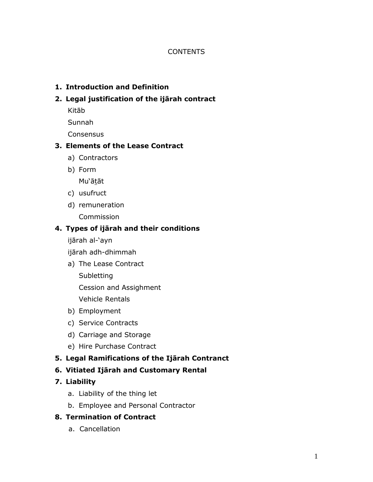#### **CONTENTS**

### **1. Introduction and Definition**

#### **2. Legal justification of the ijārah contract**

Kitāb

Sunnah

**Consensus** 

# **3. Elements of the Lease Contract**

- a) Contractors
- b) Form

Mu'ātāt

- c) usufruct
- d) remuneration

Commission

#### **4. Types of ijārah and their conditions**

ijārah al-'ayn

ijārah adh-dhimmah

a) The Lease Contract

**Subletting** 

Cession and Assighment

Vehicle Rentals

- b) Employment
- c) Service Contracts
- d) Carriage and Storage
- e) Hire Purchase Contract

# **5. Legal Ramifications of the Ijārah Contranct**

# **6. Vitiated Ijārah and Customary Rental**

# **7. Liability**

- a. Liability of the thing let
- b. Employee and Personal Contractor

#### **8. Termination of Contract**

a. Cancellation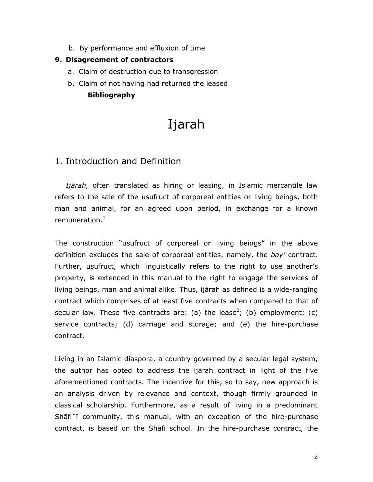b. By performance and effluxion of time

#### **9. Disagreement of contractors**

- a. Claim of destruction due to transgression
- b. Claim of not having had returned the leased **Bibliography**

# Ijarah

# 1. Introduction and Definition

*Ijārah,* often translated as hiring or leasing, in Islamic mercantile law refers to the sale of the usufruct of corporeal entities or living beings, both man and animal, for an agreed upon period, in exchange for a known remuneration. $<sup>1</sup>$ </sup>

The construction "usufruct of corporeal or living beings" in the above definition excludes the sale of corporeal entities, namely, the *bay'* contract. Further, usufruct, which linguistically refers to the right to use another's property, is extended in this manual to the right to engage the services of living beings, man and animal alike. Thus, ijārah as defined is a wide-ranging contract which comprises of at least five contracts when compared to that of secular law. These five contracts are: (a) the lease<sup>2</sup>; (b) employment; (c) service contracts; (d) carriage and storage; and (e) the hire-purchase contract.

Living in an Islamic diaspora, a country governed by a secular legal system, the author has opted to address the ijārah contract in light of the five aforementioned contracts. The incentive for this, so to say, new approach is an analysis driven by relevance and context, though firmly grounded in classical scholarship. Furthermore, as a result of living in a predominant Shāfi˘ī community, this manual, with an exception of the hire-purchase contract, is based on the Shāfi school. In the hire-purchase contract, the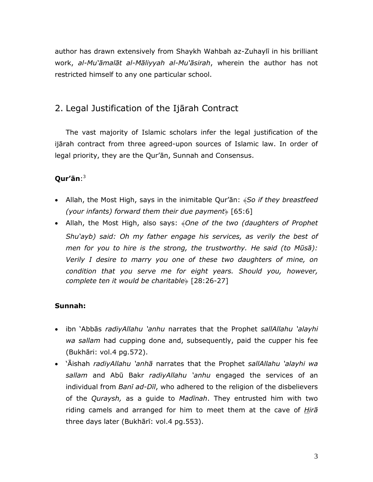author has drawn extensively from Shaykh Wahbah az-Zuhaylī in his brilliant work, *al-Mu'āmalāt al-Māliyyah al-Mu'āsirah*, wherein the author has not restricted himself to any one particular school.

# 2. Legal Justification of the Ijārah Contract

The vast majority of Islamic scholars infer the legal justification of the ijārah contract from three agreed-upon sources of Islamic law. In order of legal priority, they are the Qur'ān, Sunnah and Consensus.

# **Qur'ān**: 3

- Allah, the Most High, says in the inimitable Qur'ān: ﴾*So if they breastfeed (your infants) forward them their due payment*﴿ [65:6]
- Allah, the Most High, also says: ﴾*One of the two (daughters of Prophet Shu'ayb) said: Oh my father engage his services, as verily the best of men for you to hire is the strong, the trustworthy. He said (to Mūsā): Verily I desire to marry you one of these two daughters of mine, on condition that you serve me for eight years. Should you, however, complete ten it would be charitable*﴿ [28:26-27]

# **Sunnah:**

- ibn 'Abbās *radiyAllahu 'anhu* narrates that the Prophet *sallAllahu 'alayhi wa sallam* had cupping done and, subsequently, paid the cupper his fee (Bukhāri: vol.4 pg.572).
- 'Āishah *radiyAllahu 'anhā* narrates that the Prophet *sallAllahu 'alayhi wa sallam* and Abū Bakr *radiyAllahu 'anhu* engaged the services of an individual from *Banī ad-Dīl*, who adhered to the religion of the disbelievers of the *Quraysh,* as a guide to *Madīnah*. They entrusted him with two riding camels and arranged for him to meet them at the cave of *Hirā* three days later (Bukhārī: vol.4 pg.553).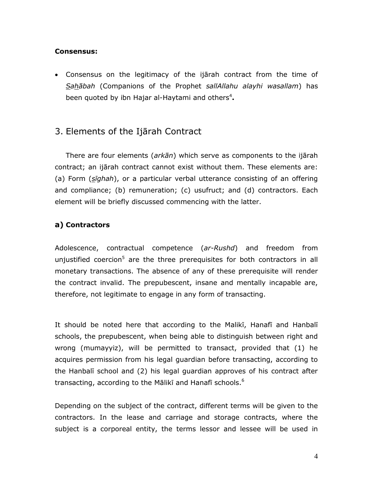#### **Consensus:**

 Consensus on the legitimacy of the ijārah contract from the time of *Sahābah* (Companions of the Prophet *sallAllahu alayhi wasallam*) has been quoted by ibn Hajar al-Haytami and others<sup>4</sup>.

# 3. Elements of the Ijārah Contract

There are four elements (*arkān*) which serve as components to the ijārah contract; an ijārah contract cannot exist without them. These elements are: (a) Form (*sīghah*), or a particular verbal utterance consisting of an offering and compliance; (b) remuneration; (c) usufruct; and (d) contractors. Each element will be briefly discussed commencing with the latter.

# **a) Contractors**

Adolescence, contractual competence (*ar-Rushd*) and freedom from unjustified coercion<sup>5</sup> are the three prerequisites for both contractors in all monetary transactions. The absence of any of these prerequisite will render the contract invalid. The prepubescent, insane and mentally incapable are, therefore, not legitimate to engage in any form of transacting.

It should be noted here that according to the Malikī, Hanafī and Hanbalī schools, the prepubescent, when being able to distinguish between right and wrong (mumayyiz), will be permitted to transact, provided that (1) he acquires permission from his legal guardian before transacting, according to the Hanbalī school and (2) his legal guardian approves of his contract after transacting, according to the Mālikī and Hanafī schools.<sup>6</sup>

Depending on the subject of the contract, different terms will be given to the contractors. In the lease and carriage and storage contracts, where the subject is a corporeal entity, the terms lessor and lessee will be used in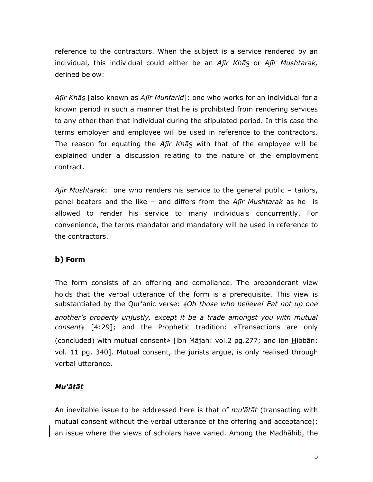reference to the contractors. When the subject is a service rendered by an individual, this individual could either be an *Ajīr Khās* or *Ajīr Mushtarak,* defined below:

*Ajīr Khās* [also known as *Ajīr Munfarid*]: one who works for an individual for a known period in such a manner that he is prohibited from rendering services to any other than that individual during the stipulated period. In this case the terms employer and employee will be used in reference to the contractors. The reason for equating the *Ajīr Khās* with that of the employee will be explained under a discussion relating to the nature of the employment contract.

*Ajīr Mushtarak*: one who renders his service to the general public – tailors, panel beaters and the like – and differs from the *Ajīr Mushtarak* as he is allowed to render his service to many individuals concurrently. For convenience, the terms mandator and mandatory will be used in reference to the contractors.

# **b) Form**

The form consists of an offering and compliance. The preponderant view holds that the verbal utterance of the form is a prerequisite. This view is substantiated by the Qur'anic verse: ﴾*Oh those who believe! Eat not up one another's property unjustly, except it be a trade amongst you with mutual consent*» [4:29]; and the Prophetic tradition: «Transactions are only (concluded) with mutual consent» [ibn Mājah: vol.2 pg.277; and ibn  $\underline{H}$ ibbān: vol. 11 pg. 340]. Mutual consent, the jurists argue, is only realised through verbal utterance.

# *Mu'ātāt*

An inevitable issue to be addressed here is that of *mu'ātāt* (transacting with mutual consent without the verbal utterance of the offering and acceptance); an issue where the views of scholars have varied. Among the Madhāhib, the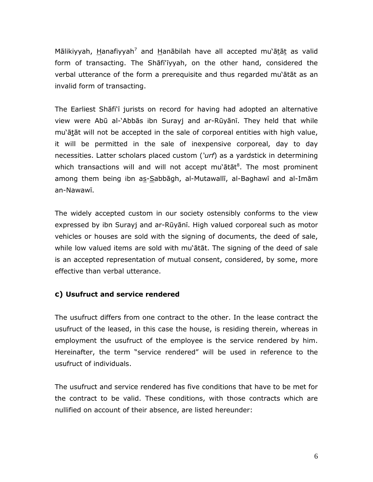Mālikiyyah, Hanafiyyah<sup>7</sup> and Hanābilah have all accepted mu`ātāt as valid form of transacting. The Shāfi'īyyah, on the other hand, considered the verbal utterance of the form a prerequisite and thus regarded mu'ātāt as an invalid form of transacting.

The Earliest Shāfi'ī jurists on record for having had adopted an alternative view were Abū al-'Abbās ibn Surayj and ar-Rūyānī. They held that while mu'ātāt will not be accepted in the sale of corporeal entities with high value, it will be permitted in the sale of inexpensive corporeal, day to day necessities. Latter scholars placed custom (*'urf*) as a yardstick in determining which transactions will and will not accept mu'ātāt ${}^{8}$ . The most prominent among them being ibn as-Sabbāgh, al-Mutawallī, al-Baghawī and al-Imām an-Nawawī.

The widely accepted custom in our society ostensibly conforms to the view expressed by ibn Surayj and ar-Rūyānī. High valued corporeal such as motor vehicles or houses are sold with the signing of documents, the deed of sale, while low valued items are sold with mu'ātāt. The signing of the deed of sale is an accepted representation of mutual consent, considered, by some, more effective than verbal utterance.

#### **c) Usufruct and service rendered**

The usufruct differs from one contract to the other. In the lease contract the usufruct of the leased, in this case the house, is residing therein, whereas in employment the usufruct of the employee is the service rendered by him. Hereinafter, the term "service rendered" will be used in reference to the usufruct of individuals.

The usufruct and service rendered has five conditions that have to be met for the contract to be valid. These conditions, with those contracts which are nullified on account of their absence, are listed hereunder: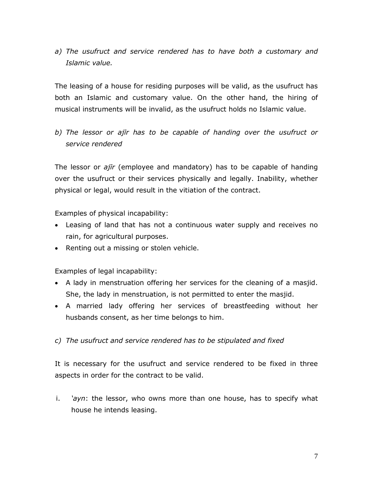*a) The usufruct and service rendered has to have both a customary and Islamic value.*

The leasing of a house for residing purposes will be valid, as the usufruct has both an Islamic and customary value. On the other hand, the hiring of musical instruments will be invalid, as the usufruct holds no Islamic value.

*b) The lessor or ajīr has to be capable of handing over the usufruct or service rendered*

The lessor or *ajīr* (employee and mandatory) has to be capable of handing over the usufruct or their services physically and legally. Inability, whether physical or legal, would result in the vitiation of the contract.

Examples of physical incapability:

- Leasing of land that has not a continuous water supply and receives no rain, for agricultural purposes.
- Renting out a missing or stolen vehicle.

Examples of legal incapability:

- A lady in menstruation offering her services for the cleaning of a masjid. She, the lady in menstruation, is not permitted to enter the masjid.
- A married lady offering her services of breastfeeding without her husbands consent, as her time belongs to him.
- *c) The usufruct and service rendered has to be stipulated and fixed*

It is necessary for the usufruct and service rendered to be fixed in three aspects in order for the contract to be valid.

i. *'ayn*: the lessor, who owns more than one house, has to specify what house he intends leasing.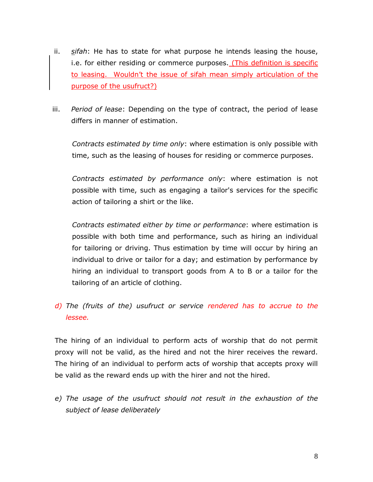- ii. *sifah*: He has to state for what purpose he intends leasing the house, i.e. for either residing or commerce purposes. (This definition is specific to leasing. Wouldn't the issue of sifah mean simply articulation of the purpose of the usufruct?)
- iii. *Period of lease*: Depending on the type of contract, the period of lease differs in manner of estimation.

*Contracts estimated by time only*: where estimation is only possible with time, such as the leasing of houses for residing or commerce purposes.

*Contracts estimated by performance only*: where estimation is not possible with time, such as engaging a tailor's services for the specific action of tailoring a shirt or the like.

*Contracts estimated either by time or performance*: where estimation is possible with both time and performance, such as hiring an individual for tailoring or driving. Thus estimation by time will occur by hiring an individual to drive or tailor for a day; and estimation by performance by hiring an individual to transport goods from A to B or a tailor for the tailoring of an article of clothing.

*d) The (fruits of the) usufruct or service rendered has to accrue to the lessee.*

The hiring of an individual to perform acts of worship that do not permit proxy will not be valid, as the hired and not the hirer receives the reward. The hiring of an individual to perform acts of worship that accepts proxy will be valid as the reward ends up with the hirer and not the hired.

*e) The usage of the usufruct should not result in the exhaustion of the subject of lease deliberately*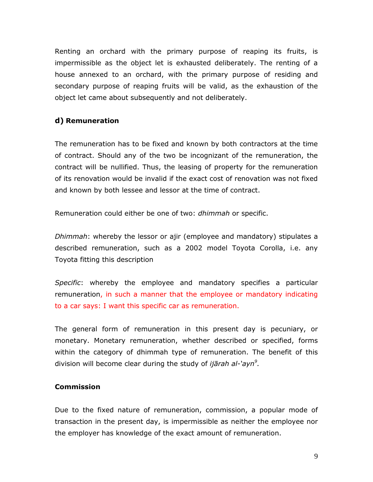Renting an orchard with the primary purpose of reaping its fruits, is impermissible as the object let is exhausted deliberately. The renting of a house annexed to an orchard, with the primary purpose of residing and secondary purpose of reaping fruits will be valid, as the exhaustion of the object let came about subsequently and not deliberately.

# **d) Remuneration**

The remuneration has to be fixed and known by both contractors at the time of contract. Should any of the two be incognizant of the remuneration, the contract will be nullified. Thus, the leasing of property for the remuneration of its renovation would be invalid if the exact cost of renovation was not fixed and known by both lessee and lessor at the time of contract.

Remuneration could either be one of two: *dhimmah* or specific.

*Dhimmah*: whereby the lessor or ajir (employee and mandatory) stipulates a described remuneration, such as a 2002 model Toyota Corolla, i.e. any Toyota fitting this description

*Specific*: whereby the employee and mandatory specifies a particular remuneration, in such a manner that the employee or mandatory indicating to a car says: I want this specific car as remuneration.

The general form of remuneration in this present day is pecuniary, or monetary. Monetary remuneration, whether described or specified, forms within the category of dhimmah type of remuneration. The benefit of this division will become clear during the study of *ijārah al-'ayn<sup>9</sup> .*

# **Commission**

Due to the fixed nature of remuneration, commission, a popular mode of transaction in the present day, is impermissible as neither the employee nor the employer has knowledge of the exact amount of remuneration.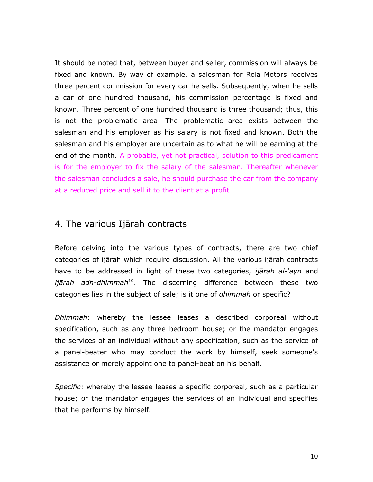It should be noted that, between buyer and seller, commission will always be fixed and known. By way of example, a salesman for Rola Motors receives three percent commission for every car he sells. Subsequently, when he sells a car of one hundred thousand, his commission percentage is fixed and known. Three percent of one hundred thousand is three thousand; thus, this is not the problematic area. The problematic area exists between the salesman and his employer as his salary is not fixed and known. Both the salesman and his employer are uncertain as to what he will be earning at the end of the month. A probable, yet not practical, solution to this predicament is for the employer to fix the salary of the salesman. Thereafter whenever the salesman concludes a sale, he should purchase the car from the company at a reduced price and sell it to the client at a profit.

# 4. The various Ijārah contracts

Before delving into the various types of contracts, there are two chief categories of ijārah which require discussion. All the various ijārah contracts have to be addressed in light of these two categories, *ijārah al-'ayn* and *ijārah adh-dhimmah*<sup>10</sup>. The discerning difference between these two categories lies in the subject of sale; is it one of *dhimmah* or specific?

*Dhimmah*: whereby the lessee leases a described corporeal without specification, such as any three bedroom house; or the mandator engages the services of an individual without any specification, such as the service of a panel-beater who may conduct the work by himself, seek someone's assistance or merely appoint one to panel-beat on his behalf.

*Specific*: whereby the lessee leases a specific corporeal, such as a particular house; or the mandator engages the services of an individual and specifies that he performs by himself.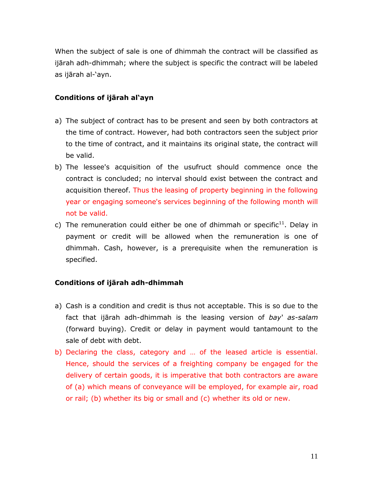When the subject of sale is one of dhimmah the contract will be classified as ijārah adh-dhimmah; where the subject is specific the contract will be labeled as ijārah al-'ayn.

#### **Conditions of ijārah al'ayn**

- a) The subject of contract has to be present and seen by both contractors at the time of contract. However, had both contractors seen the subject prior to the time of contract, and it maintains its original state, the contract will be valid.
- b) The lessee's acquisition of the usufruct should commence once the contract is concluded; no interval should exist between the contract and acquisition thereof. Thus the leasing of property beginning in the following year or engaging someone's services beginning of the following month will not be valid.
- c) The remuneration could either be one of dhimmah or specific<sup>11</sup>. Delay in payment or credit will be allowed when the remuneration is one of dhimmah. Cash, however, is a prerequisite when the remuneration is specified.

# **Conditions of ijārah adh-dhimmah**

- a) Cash is a condition and credit is thus not acceptable. This is so due to the fact that ijārah adh-dhimmah is the leasing version of *bay' as-salam*  (forward buying). Credit or delay in payment would tantamount to the sale of debt with debt.
- b) Declaring the class, category and … of the leased article is essential. Hence, should the services of a freighting company be engaged for the delivery of certain goods, it is imperative that both contractors are aware of (a) which means of conveyance will be employed, for example air, road or rail; (b) whether its big or small and (c) whether its old or new.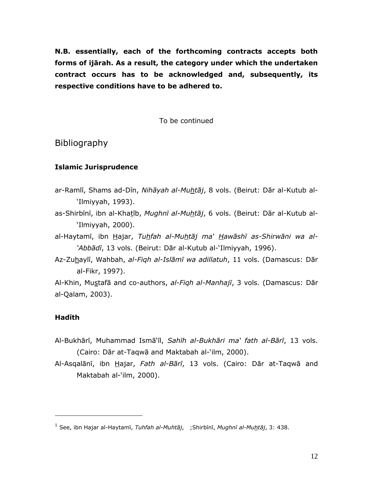**N.B. essentially, each of the forthcoming contracts accepts both forms of ijārah. As a result, the category under which the undertaken contract occurs has to be acknowledged and, subsequently, its respective conditions have to be adhered to.**

To be continued

Bibliography

# **Islamic Jurisprudence**

- ar-Ramlī, Shams ad-Dīn, *Nihāyah al-Muhtāj*, 8 vols. (Beirut: Dār al-Kutub al- 'Ilmiyyah, 1993).
- as-Shirbīnī, ibn al-Khatīb, *Mughnī al-Muhtāj*, 6 vols. (Beirut: Dār al-Kutub al- 'Ilmiyyah, 2000).
- al-Haytamī, ibn Hajar, *Tuhfah al-Muhtāj ma' Hawāshī as-Shirwāni wa al- 'Abbādī*, 13 vols. (Beirut: Dār al-Kutub al-'Ilmiyyah, 1996).
- Az-Zuhaylī, Wahbah, *al-Fiqh al-Islāmī wa adillatuh*, 11 vols. (Damascus: Dār al-Fikr, 1997).

Al-Khin, Mustafā and co-authors, *al-Fiqh al-Manhajī*, 3 vols. (Damascus: Dār al-Qalam, 2003).

#### **Hadīth**

 $\overline{a}$ 

- Al-Bukhārī, Muhammad Ismā'īl, *Sahīh al-Bukhāri ma' fath al-Bārī*, 13 vols. (Cairo: Dār at-Taqwā and Maktabah al-'ilm, 2000).
- Al-Asqalānī, ibn Hajar, *Fath al-Bārī*, 13 vols. (Cairo: Dār at-Taqwā and Maktabah al-'ilm, 2000).

<sup>1</sup> See, ibn Hajar al-Haytamī, *Tuhfah al-Muhtāj*, ;Shirbīnī, *Mughnī al-Muhtāj*, 3: 438.